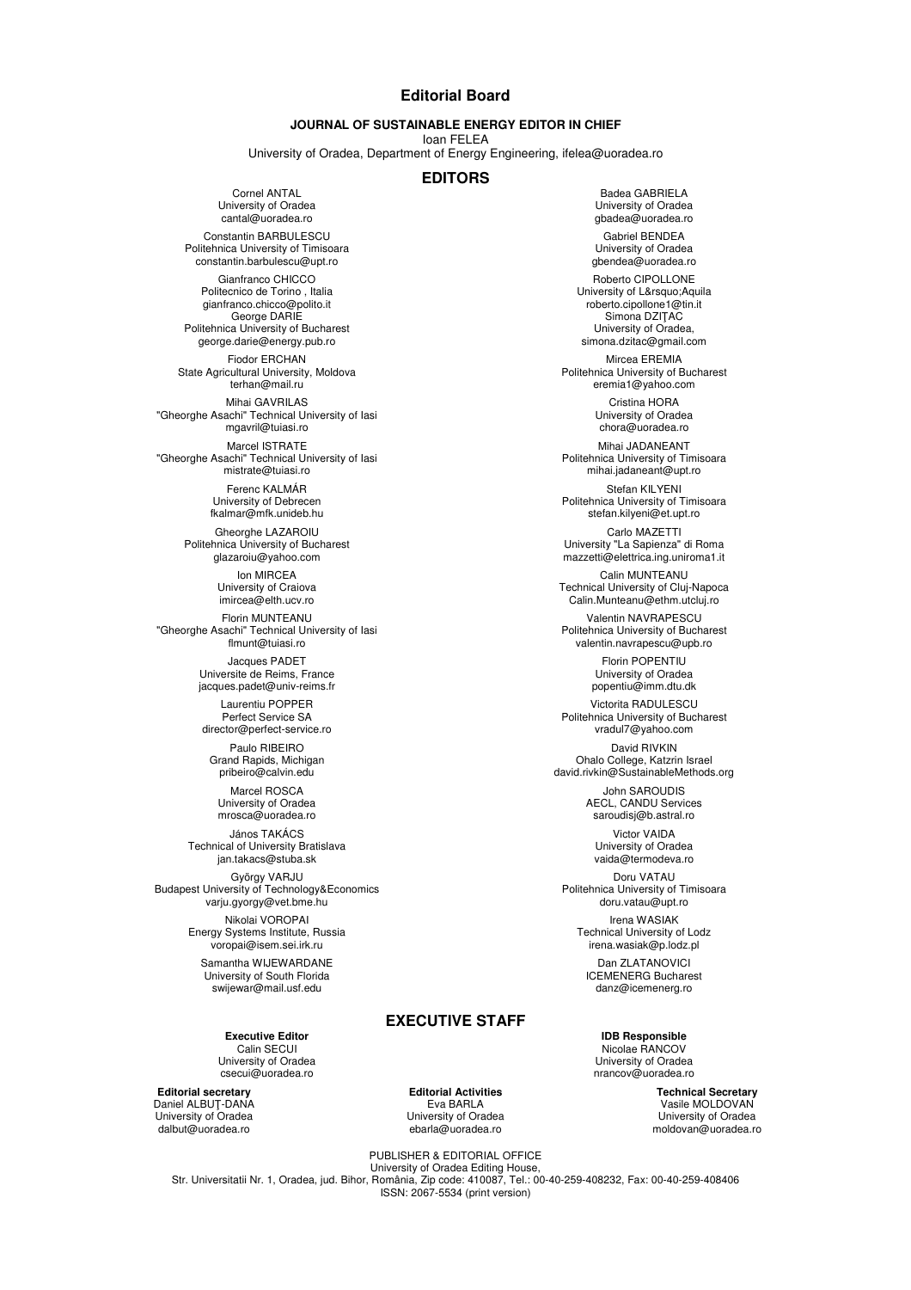## **Editorial Board**

## **JOURNAL OF SUSTAINABLE ENERGY EDITOR IN CHIEF**

Ioan FELEA

University of Oradea, Department of Energy Engineering, ifelea@uoradea.ro

## **EDITORS**

Cornel ANTAL University of Oradea cantal@uoradea.ro

Constantin BARBULESCU Politehnica University of Timisoara constantin.barbulescu@upt.ro

> Gianfranco CHICCO Politecnico de Torino , Italia gianfranco.chicco@polito.it George DARIE

Politehnica University of Bucharest george.darie@energy.pub.ro

Fiodor ERCHAN State Agricultural University, Moldova terhan@mail.ru

Mihai GAVRILAS "Gheorghe Asachi" Technical University of Iasi mgavril@tuiasi.ro

Marcel ISTRATE "Gheorghe Asachi" Technical University of Iasi mistrate@tuiasi.ro

> Ferenc KALMÁR University of Debrecen fkalmar@mfk.unideb.hu

Gheorghe LAZAROIU Politehnica University of Bucharest glazaroiu@yahoo.com

> Ion MIRCEA University of Craiova imircea@elth.ucv.ro

Florin MUNTEANU "Gheorghe Asachi" Technical University of Iasi flmunt@tuiasi.ro

> Jacques PADET Universite de Reims, France jacques.padet@univ-reims.fr

Laurentiu POPPER Perfect Service SA director@perfect-service.ro

Paulo RIBEIRO Grand Rapids, Michigan pribeiro@calvin.edu

Marcel ROSCA University of Oradea mrosca@uoradea.ro

János TAKÁCS Technical of University Bratislava jan.takacs@stuba.sk

György VARJU Budapest University of Technology&Economics varju.gyorgy@vet.bme.hu Nikolai VOROPAI Energy Systems Institute, Russia voropai@isem.sei.irk.ru

> Samantha WIJEWARDANE University of South Florida swijewar@mail.usf.edu

> > **Executive Editor**  Calin SECUI University of Oradea csecui@uoradea.ro

**Editorial secretary**  Daniel ALBUŢ-DANA University of Oradea dalbut@uoradea.ro

**Editorial Activities**  Eva BARLA University of Oradea ebarla@uoradea.ro

**EXECUTIVE STAFF**

Badea GABRIELA University of Oradea gbadea@uoradea.ro

Gabriel BENDEA University of Oradea gbendea@uoradea.ro

Roberto CIPOLLONE University of L' Aquila roberto.cipollone1@tin.it Simona DZIŢAC University of Oradea, simona.dzitac@gmail.com

Mircea EREMIA Politehnica University of Bucharest eremia1@yahoo.com

> Cristina HORA University of Oradea chora@uoradea.ro

Mihai JADANEANT Politehnica University of Timisoara mihai.jadaneant@upt.ro

Stefan KILYENI Politehnica University of Timisoara stefan.kilyeni@et.upt.ro

Carlo MAZETTI University "La Sapienza" di Roma mazzetti@elettrica.ing.uniroma1.it

Calin MUNTEANU Technical University of Cluj-Napoca Calin.Munteanu@ethm.utcluj.ro

Valentin NAVRAPESCU Politehnica University of Bucharest valentin.navrapescu@upb.ro

> Florin POPENTIU University of Oradea popentiu@imm.dtu.dk

Victorita RADULESCU Politehnica University of Bucharest vradul7@yahoo.com

David RIVKIN Ohalo College, Katzrin Israel david.rivkin@SustainableMethods.org

> John SAROUDIS AECL, CANDU Services saroudisj@b.astral.ro

Victor VAIDA University of Oradea vaida@termodeva.ro

Doru VATAU Politehnica University of Timisoara doru.vatau@upt.ro

Irena WASIAK Technical University of Lodz irena.wasiak@p.lodz.pl

Dan ZLATANOVICI ICEMENERG Bucharest danz@icemenerg.ro

**IDB Responsible**  Nicolae RANCOV University of Oradea nrancov@uoradea.ro

> **Technical Secretary**  Vasile MOLDOVAN University of Oradea moldovan@uoradea.ro

PUBLISHER & EDITORIAL OFFICE University of Oradea Editing House, Str. Universitatii Nr. 1, Oradea, jud. Bihor, România, Zip code: 410087, Tel.: 00-40-259-408232, Fax: 00-40-259-408406 ISSN: 2067-5534 (print version)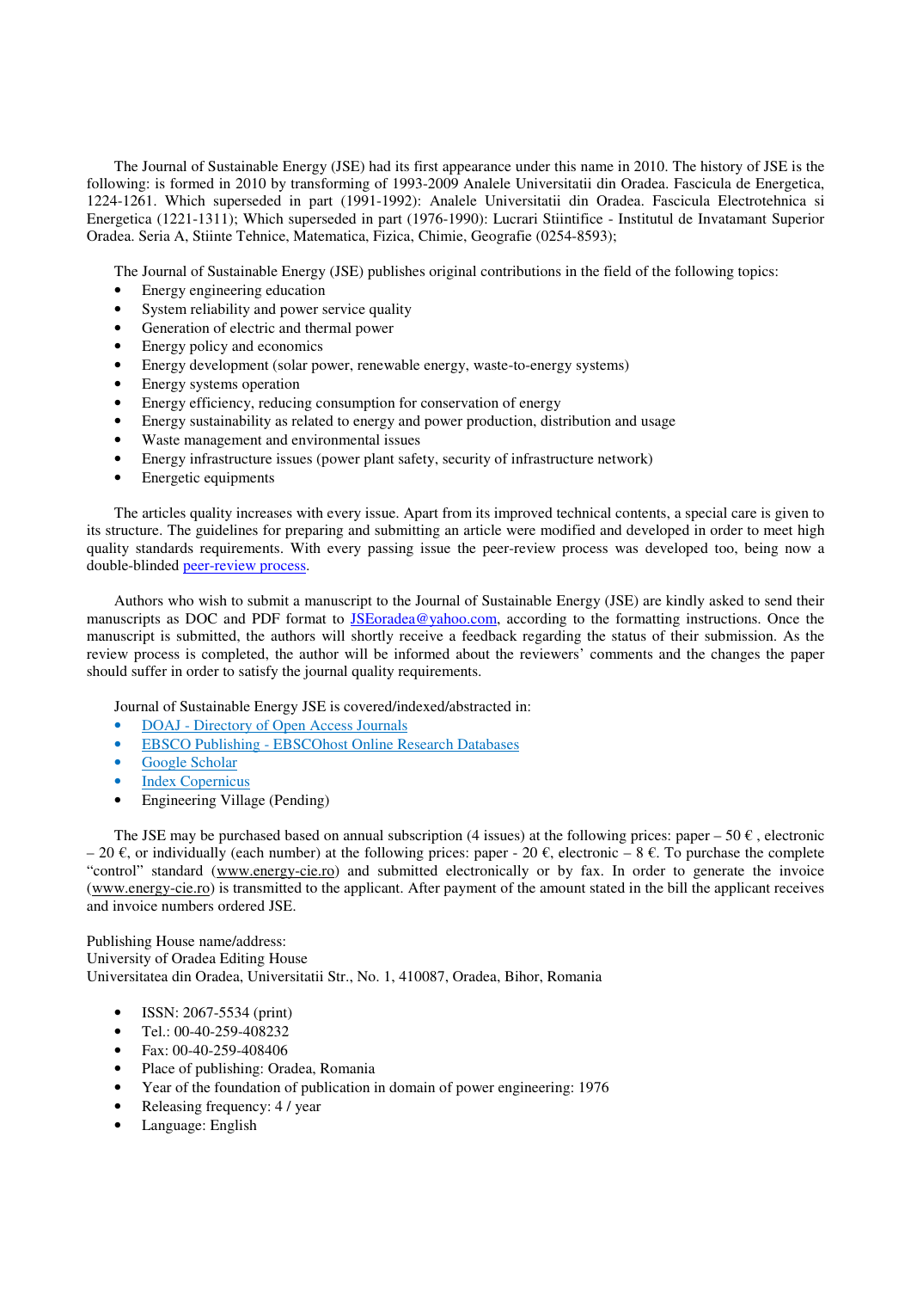The Journal of Sustainable Energy (JSE) had its first appearance under this name in 2010. The history of JSE is the following: is formed in 2010 by transforming of 1993-2009 Analele Universitatii din Oradea. Fascicula de Energetica, 1224-1261. Which superseded in part (1991-1992): Analele Universitatii din Oradea. Fascicula Electrotehnica si Energetica (1221-1311); Which superseded in part (1976-1990): Lucrari Stiintifice - Institutul de Invatamant Superior Oradea. Seria A, Stiinte Tehnice, Matematica, Fizica, Chimie, Geografie (0254-8593);

The Journal of Sustainable Energy (JSE) publishes original contributions in the field of the following topics:

- Energy engineering education
- System reliability and power service quality
- Generation of electric and thermal power
- Energy policy and economics
- Energy development (solar power, renewable energy, waste-to-energy systems)
- Energy systems operation
- Energy efficiency, reducing consumption for conservation of energy
- Energy sustainability as related to energy and power production, distribution and usage
- Waste management and environmental issues
- Energy infrastructure issues (power plant safety, security of infrastructure network)
- Energetic equipments

The articles quality increases with every issue. Apart from its improved technical contents, a special care is given to its structure. The guidelines for preparing and submitting an article were modified and developed in order to meet high quality standards requirements. With every passing issue the peer-review process was developed too, being now a double-blinded peer-review process.

Authors who wish to submit a manuscript to the Journal of Sustainable Energy (JSE) are kindly asked to send their manuscripts as DOC and PDF format to JSEoradea@yahoo.com, according to the formatting instructions. Once the manuscript is submitted, the authors will shortly receive a feedback regarding the status of their submission. As the review process is completed, the author will be informed about the reviewers' comments and the changes the paper should suffer in order to satisfy the journal quality requirements.

Journal of Sustainable Energy JSE is covered/indexed/abstracted in:

- DOAJ Directory of Open Access Journals
- EBSCO Publishing EBSCOhost Online Research Databases
- Google Scholar
- Index Copernicus
- Engineering Village (Pending)

The JSE may be purchased based on annual subscription (4 issues) at the following prices: paper – 50  $\epsilon$ , electronic  $-20 \in$ , or individually (each number) at the following prices: paper - 20 €, electronic – 8 €. To purchase the complete "control" standard (www.energy-cie.ro) and submitted electronically or by fax. In order to generate the invoice (www.energy-cie.ro) is transmitted to the applicant. After payment of the amount stated in the bill the applicant receives and invoice numbers ordered JSE.

Publishing House name/address: University of Oradea Editing House Universitatea din Oradea, Universitatii Str., No. 1, 410087, Oradea, Bihor, Romania

- ISSN: 2067-5534 (print)
- Tel.:  $00-40-259-408232$
- Fax: 00-40-259-408406
- Place of publishing: Oradea, Romania
- Year of the foundation of publication in domain of power engineering: 1976
- Releasing frequency: 4 / year
- Language: English